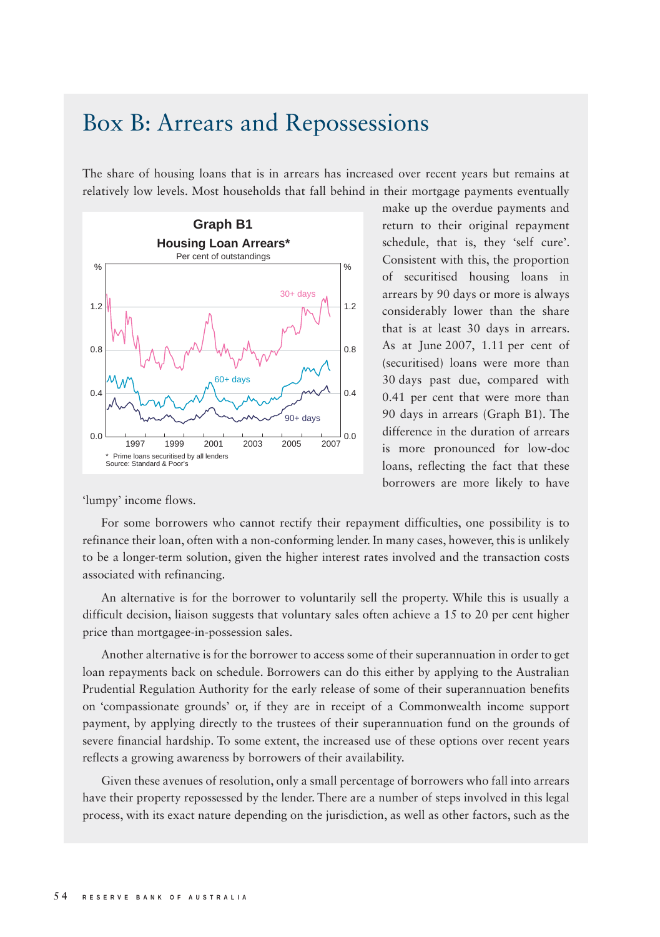## Box B: Arrears and Repossessions

The share of housing loans that is in arrears has increased over recent years but remains at relatively low levels. Most households that fall behind in their mortgage payments eventually



make up the overdue payments and return to their original repayment schedule, that is, they 'self cure'. Consistent with this, the proportion of securitised housing loans in arrears by 90 days or more is always considerably lower than the share that is at least 30 days in arrears. As at June 2007, 1.11 per cent of (securitised) loans were more than 30 days past due, compared with 0.41 per cent that were more than 90 days in arrears (Graph B1). The difference in the duration of arrears is more pronounced for low-doc loans, reflecting the fact that these borrowers are more likely to have

'lumpy' income flows.

For some borrowers who cannot rectify their repayment difficulties, one possibility is to refinance their loan, often with a non-conforming lender. In many cases, however, this is unlikely to be a longer-term solution, given the higher interest rates involved and the transaction costs associated with refinancing.

An alternative is for the borrower to voluntarily sell the property. While this is usually a difficult decision, liaison suggests that voluntary sales often achieve a 15 to 20 per cent higher price than mortgagee-in-possession sales.

Another alternative is for the borrower to access some of their superannuation in order to get loan repayments back on schedule. Borrowers can do this either by applying to the Australian Prudential Regulation Authority for the early release of some of their superannuation benefits on 'compassionate grounds' or, if they are in receipt of a Commonwealth income support payment, by applying directly to the trustees of their superannuation fund on the grounds of severe financial hardship. To some extent, the increased use of these options over recent years reflects a growing awareness by borrowers of their availability.

Given these avenues of resolution, only a small percentage of borrowers who fall into arrears have their property repossessed by the lender. There are a number of steps involved in this legal process, with its exact nature depending on the jurisdiction, as well as other factors, such as the